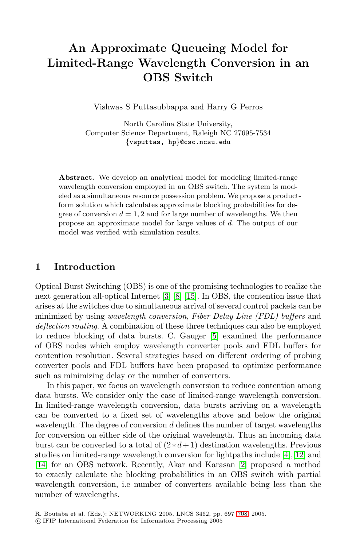# **An Approximate Queueing Model for Limited-Range Wavelength Conversion in an OBS Switch**

Vishwas S Puttasubbappa and Harry G Perros

North Carolina State University, Computer Science Department, Raleigh NC 27695-7534 *{*vsputtas, hp*}*@csc.ncsu.edu

**Abstract.** We develop an analytical model for modeling limited-range wavelength conversion employed in an OBS switch. The system is modeled as a simultaneous resource possession problem. We propose a productform solution which calculates approximate blocking probabilities for degree of conversion  $d = 1, 2$  and for large number of wavelengths. We then propose an approximate model for large values of d. The output of our model was verified with simulation results.

## **1 Introduction**

Optical Burst Switching (OBS) is one of the promising technologies to realize the next generation all-optical Internet [\[3\]](#page-11-0) [\[8\]](#page-11-1) [\[15\]](#page-11-2). In OBS, the contention issue that arises at the switches due to simultaneous arrival of several control packets can be minimized by using *wavelength conversion*, *Fiber Delay Line (FDL) buffers* and *deflection routing*. A combination of these three techniques can also be employed to reduce blocking of data bursts. C. Gauger [\[5\]](#page-11-3) examined the performance of OBS nodes which employ wavelength converter pools and FDL buffers for contention resolution. Several strategies based on different ordering of probing converter pools and FDL buffers have been proposed to optimize performance such as minimizing delay or the number of converters.

In this paper, we focus on wavelength conversion to reduce contention among data bursts. We consider only the case of limited-range wavelength conversion. In limited-range wavelength conversion, data bursts arriving on a wavelength can be converted to a fixed set of wavelengths above and below the original wavelength. The degree of conversion  $d$  defines the number of target wavelengths for conversion on either side of the original wavelength. Thus an incoming data burst can be converted to a total of  $(2*d+1)$  destination wavelengths. Previous studies on limited-range wavelength conversion for lightpaths include [\[4\]](#page-11-4),[\[12\]](#page-11-5) and [\[14\]](#page-11-6) for an OBS network. Recently, Akar and Karasan [\[2\]](#page-11-7) proposed a method to exactly calculate the blocking probabilities in an OBS switch with partial wavelength conversion, i.e number of converters available being less than the number of wavelengths.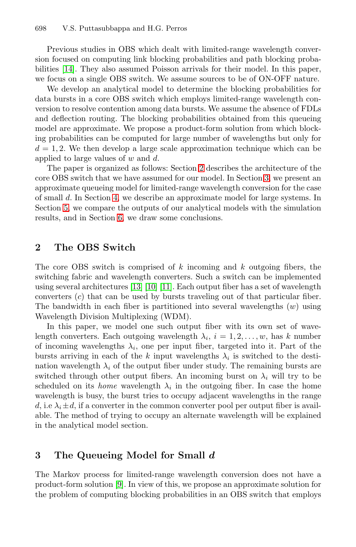Previous studies in OBS which dealt with limited-range wavelength conversion focused on computing link blocking probabilities and path blocking probabilities [\[14\]](#page-11-6). They also assumed Poisson arrivals for their model. In this paper, we focus on a single OBS switch. We assume sources to be of ON-OFF nature.

We develop an analytical model to determine the blocking probabilities for data bursts in a core OBS switch which employs limited-range wavelength conversion to resolve contention among data bursts. We assume the absence of FDLs and deflection routing. The blocking probabilities obtained from this queueing model are approximate. We propose a product-form solution from which blocking probabilities can be computed for large number of wavelengths but only for  $d = 1, 2$ . We then develop a large scale approximation technique which can be applied to large values of  $w$  and  $d$ .

The paper is organized as follows: Section [2](#page-1-0) describes the architecture of the core OBS switch that we have assumed for our model. In Section [3,](#page-1-1) we present an approximate queueing model for limited-range wavelength conversion for the case of small d. In Section [4,](#page-7-0) we describe an approximate model for large systems. In Section [5,](#page-9-0) we compare the outputs of our analytical models with the simulation results, and in Section [6,](#page-9-1) we draw some conclusions.

## <span id="page-1-0"></span>**2 The OBS Switch**

The core OBS switch is comprised of  $k$  incoming and  $k$  outgoing fibers, the switching fabric and wavelength converters. Such a switch can be implemented using several architectures [\[13\]](#page-11-9) [\[10\]](#page-11-10) [\[11\]](#page-11-11). Each output fiber has a set of wavelength converters (c) that can be used by bursts traveling out of that particular fiber. The bandwidth in each fiber is partitioned into several wavelengths  $(w)$  using Wavelength Division Multiplexing (WDM).

In this paper, we model one such output fiber with its own set of wavelength converters. Each outgoing wavelength  $\lambda_i$ ,  $i = 1, 2, \ldots, w$ , has k number of incoming wavelengths  $\lambda_i$ , one per input fiber, targeted into it. Part of the bursts arriving in each of the k input wavelengths  $\lambda_i$  is switched to the destination wavelength  $\lambda_i$  of the output fiber under study. The remaining bursts are switched through other output fibers. An incoming burst on  $\lambda_i$  will try to be scheduled on its *home* wavelength  $\lambda_i$  in the outgoing fiber. In case the home wavelength is busy, the burst tries to occupy adjacent wavelengths in the range d, i.e  $\lambda_i \pm d$ , if a converter in the common converter pool per output fiber is available. The method of trying to occupy an alternate wavelength will be explained in the analytical model section.

## <span id="page-1-1"></span>**3 The Queueing Model for Small** *d*

The Markov process for limited-range wavelength conversion does not have a product-form solution [\[9\]](#page-11-12). In view of this, we propose an approximate solution for the problem of computing blocking probabilities in an OBS switch that employs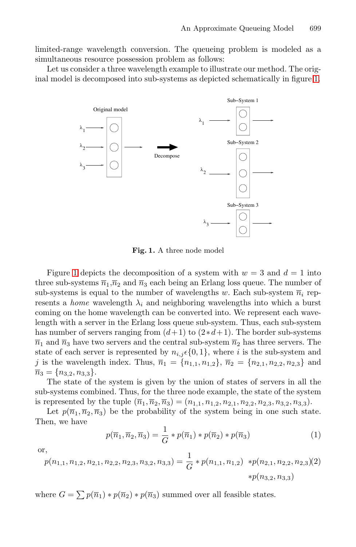limited-range wavelength conversion. The queueing problem is modeled as a simultaneous resource possession problem as follows:

Let us consider a three wavelength example to illustrate our method. The original model is decomposed into sub-systems as depicted schematically in figure [1.](#page-2-0)



<span id="page-2-0"></span>**Fig. 1.** A three node model

Figure [1](#page-2-0) depicts the decomposition of a system with  $w = 3$  and  $d = 1$  into three sub-systems  $\overline{n}_1,\overline{n}_2$  and  $\overline{n}_3$  each being an Erlang loss queue. The number of sub-systems is equal to the number of wavelengths w. Each sub-system  $\overline{n}_i$  represents a *home* wavelength  $\lambda_i$  and neighboring wavelengths into which a burst coming on the home wavelength can be converted into. We represent each wavelength with a server in the Erlang loss queue sub-system. Thus, each sub-system has number of servers ranging from  $(d+1)$  to  $(2*d+1)$ . The border sub-systems  $\overline{n}_1$  and  $\overline{n}_3$  have two servers and the central sub-system  $\overline{n}_2$  has three servers. The state of each server is represented by  $n_{i,j} \in \{0,1\}$ , where i is the sub-system and j is the wavelength index. Thus,  $\overline{n}_1 = \{n_{1,1}, n_{1,2}\}, \overline{n}_2 = \{n_{2,1}, n_{2,2}, n_{2,3}\}$  and  $\overline{n}_3 = \{n_{3,2}, n_{3,3}\}.$ 

The state of the system is given by the union of states of servers in all the sub-systems combined. Thus, for the three node example, the state of the system is represented by the tuple  $(\overline{n}_1, \overline{n}_2, \overline{n}_3)=(n_{1,1}, n_{1,2}, n_{2,1}, n_{2,2}, n_{2,3}, n_{3,2}, n_{3,3}).$ 

Let  $p(\overline{n}_1, \overline{n}_2, \overline{n}_3)$  be the probability of the system being in one such state. Then, we have

$$
p(\overline{n}_1, \overline{n}_2, \overline{n}_3) = \frac{1}{G} * p(\overline{n}_1) * p(\overline{n}_2) * p(\overline{n}_3)
$$
\n(1)

<span id="page-2-1"></span>or,

$$
p(n_{1,1}, n_{1,2}, n_{2,1}, n_{2,2}, n_{2,3}, n_{3,2}, n_{3,3}) = \frac{1}{G} * p(n_{1,1}, n_{1,2}) * p(n_{2,1}, n_{2,2}, n_{2,3})(2)
$$
  

$$
* p(n_{3,2}, n_{3,3})
$$

where  $G = \sum p(\overline{n}_1) * p(\overline{n}_2) * p(\overline{n}_3)$  summed over all feasible states.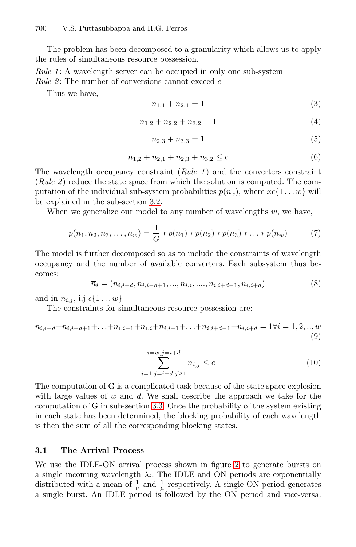The problem has been decomposed to a granularity which allows us to apply the rules of simultaneous resource possession.

*Rule 1*: A wavelength server can be occupied in only one sub-system *Rule 2*: The number of conversions cannot exceed c

Thus we have,

$$
n_{1,1} + n_{2,1} = 1\tag{3}
$$

$$
n_{1,2} + n_{2,2} + n_{3,2} = 1\tag{4}
$$

<span id="page-3-0"></span>
$$
n_{2,3} + n_{3,3} = 1\tag{5}
$$

$$
n_{1,2} + n_{2,1} + n_{2,3} + n_{3,2} \le c \tag{6}
$$

The wavelength occupancy constraint (*Rule 1* ) and the converters constraint (*Rule 2* ) reduce the state space from which the solution is computed. The computation of the individual sub-system probabilities  $p(\overline{n}_x)$ , where  $x \in \{1 \dots w\}$  will be explained in the sub-section [3.2.](#page-4-0)

When we generalize our model to any number of wavelengths  $w$ , we have,

$$
p(\overline{n}_1, \overline{n}_2, \overline{n}_3, \dots, \overline{n}_w) = \frac{1}{G} * p(\overline{n}_1) * p(\overline{n}_2) * p(\overline{n}_3) * \dots * p(\overline{n}_w)
$$
(7)

The model is further decomposed so as to include the constraints of wavelength occupancy and the number of available converters. Each subsystem thus becomes:

$$
\overline{n}_i = (n_{i,i-d}, n_{i,i-d+1}, ..., n_{i,i}, ..., n_{i,i+d-1}, n_{i,i+d})
$$
\n(8)

and in  $n_{i,j}$ , i,j  $\epsilon\{1 \dots w\}$ 

The constraints for simultaneous resource possession are:

$$
n_{i,i-d} + n_{i,i-d+1} + \ldots + n_{i,i-1} + n_{i,i} + n_{i,i+1} + \ldots + n_{i,i+d-1} + n_{i,i+d} = 1 \forall i = 1, 2, \ldots, w
$$
\n
$$
(9)
$$

$$
\sum_{i=1,j=i-d,j\geq 1}^{i=w,j=i+d} n_{i,j} \leq c \tag{10}
$$

The computation of G is a complicated task because of the state space explosion with large values of  $w$  and  $d$ . We shall describe the approach we take for the computation of G in sub-section [3.3.](#page-5-0) Once the probability of the system existing in each state has been determined, the blocking probability of each wavelength is then the sum of all the corresponding blocking states.

#### <span id="page-3-1"></span>**3.1 The Arrival Process**

We use the IDLE-ON arrival process shown in figure [2](#page-4-1) to generate bursts on a single incoming wavelength  $\lambda_i$ . The IDLE and ON periods are exponentially distributed with a mean of  $\frac{1}{\nu}$  and  $\frac{1}{\mu}$  respectively. A single ON period generates a single burst. An IDLE period is followed by the ON period and vice-versa.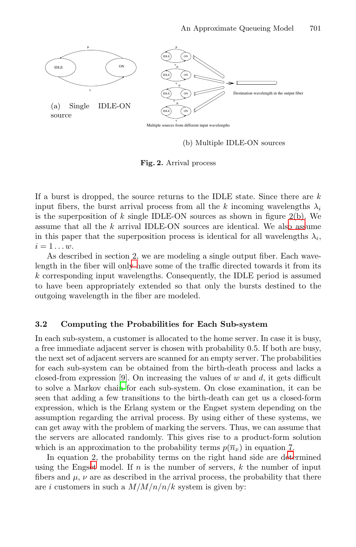<span id="page-4-2"></span>

(b) Multiple IDLE-ON sources

<span id="page-4-1"></span>**Fig. 2.** Arrival process

If a burst is dropped, the source returns to the IDLE state. Since there are  $k$ input fibers, the burst arrival process from all the k incoming wavelengths  $\lambda_i$ is the superposition of k single IDLE-ON sources as shown in figure  $2(b)$ . We assume that all the k arrival IDLE-ON sources are identical. We als[o ass](#page-4-2)ume in this paper that the superposition process is identical for all wavelengths  $\lambda_i$ ,  $i=1\ldots w$ .

As described in section 2, we are modeling a single output fiber. Each wavelength in the fiber will onl[y](#page-1-0) [h](#page-1-0)ave some of the traffic directed towards it from its k corresponding input wavelengths. Consequently, the IDLE period is assumed to have been appropriately extended so that only the bursts destined to the outgoing wavelength in the fiber are modeled.

#### <span id="page-4-0"></span>**3.2 Computing the Probabilities for Each Sub-system**

In each sub-system, a customer is allocated to the home server. In case it is busy, a free immediate adjacent server is chosen with probability 0.5. If both are busy, the next set of adjacent servers are scanned for an empty server. The probabilities for each sub-system can be obtained from the birth-death process and lacks a closed-from expression [9]. On increasing the values of  $w$  and  $d$ , it gets difficult to solve a Markov chai[n](#page-11-12) for each sub-system. On close examination, it can be seen that adding a few transitions to the birth-death can get us a closed-form expression, which is the Erlang system or the Engset system depending on the assumption regarding the arrival process. By using either of these systems, we can get away with the problem of marking the servers. Thus, we can assume that the servers are allocated randomly. This gives rise to a product-form solution which is an approximation to the probability terms  $p(\overline{n}_x)$  in equation 7.

<span id="page-4-3"></span>In equation 2, the probability terms on the right hand side are d[ete](#page-3-0)rmined using the Engs[et](#page-2-1) model. If  $n$  is the number of servers,  $k$  the number of input fibers and  $\mu$ ,  $\nu$  are as described in the arrival process, the probability that there are i customers in such a  $M/M/n/k$  system is given by: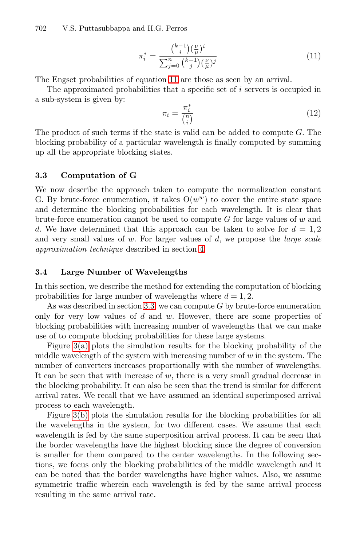$$
\pi_i^* = \frac{\binom{k-1}{i} (\frac{\nu}{\mu})^i}{\sum_{j=0}^n \binom{k-1}{j} (\frac{\nu}{\mu})^j}
$$
(11)

The Engset probabilities of equation [11](#page-4-3) are those as seen by an arrival.

The approximated probabilities that a specific set of  $i$  servers is occupied in a sub-system is given by:

$$
\pi_i = \frac{\pi_i^*}{\binom{n}{i}} \tag{12}
$$

The product of such terms if the state is valid can be added to compute G. The blocking probability of a particular wavelength is finally computed by summing up all the appropriate blocking states.

#### <span id="page-5-0"></span>**3.3 Computation of G**

We now describe the approach taken to compute the normalization constant G. By brute-force enumeration, it takes  $O(w^w)$  to cover the entire state space and determine the blocking probabilities for each wavelength. It is clear that brute-force enumeration cannot be used to compute  $G$  for large values of  $w$  and d. We have determined that this approach can be taken to solve for  $d = 1, 2$ and very small values of w. For larger values of d, we propose the *large scale approximation technique* described in section [4.](#page-7-0)

#### **3.4 Large Number of Wavelengths**

In this section, we describe the method for extending the computation of blocking probabilities for large number of wavelengths where  $d = 1, 2$ .

As was described in section [3.3,](#page-5-0) we can compute  $G$  by brute-force enumeration only for very low values of  $d$  and  $w$ . However, there are some properties of blocking probabilities with increasing number of wavelengths that we can make use of to compute blocking probabilities for these large systems.

Figure [3\(a\)](#page-6-0) plots the simulation results for the blocking probability of the middle wavelength of the system with increasing number of  $w$  in the system. The number of converters increases proportionally with the number of wavelengths. It can be seen that with increase of w, there is a very small gradual decrease in the blocking probability. It can also be seen that the trend is similar for different arrival rates. We recall that we have assumed an identical superimposed arrival process to each wavelength.

Figure [3\(b\)](#page-6-1) plots the simulation results for the blocking probabilities for all the wavelengths in the system, for two different cases. We assume that each wavelength is fed by the same superposition arrival process. It can be seen that the border wavelengths have the highest blocking since the degree of conversion is smaller for them compared to the center wavelengths. In the following sections, we focus only the blocking probabilities of the middle wavelength and it can be noted that the border wavelengths have higher values. Also, we assume symmetric traffic wherein each wavelength is fed by the same arrival process resulting in the same arrival rate.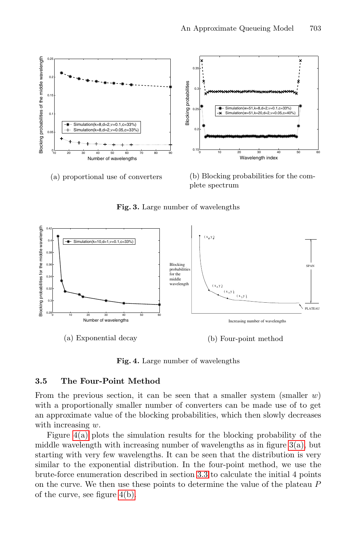<span id="page-6-1"></span><span id="page-6-0"></span>

plete spectrum

Increasing number of wavelengths

(b) Four-point method

PLATEAU

SPAN

 $(x, y)$ ( x , y ) 2 2  $(x, y)$ 



Blocking probabilities for the middle wavelength

<span id="page-6-3"></span>**Fig. 3.** Large number of wavelengths

**Fig. 4.** Large number of wavelengths

#### <span id="page-6-4"></span>**3.5 The Four-Point Method**

<sup>0</sup> <sup>10</sup> <sup>20</sup> <sup>30</sup> <sup>40</sup> <sup>50</sup> <sup>60</sup> 0.28

(a) Exponential decay

Number of wavelengths

 $\overline{0}$  $0.3$ 0.34 0.36 0.38  $\theta$ 0.42

Blocking probabilities for the middle wavelength

<span id="page-6-2"></span>Blocking probabilities for the middle wavelength

From the previous section, it can be seen that a smaller system (smaller  $w$ ) with a proportionally smaller number of converters can be made use of to get an approximate value of the blocking probabilities, which then slowly decreases with increasing  $w$ .

Figure [4\(a\)](#page-6-2) plots the simulation results for the blocking probability of the middle wavelength with increasing number of wavelengths as in figure  $3(a)$ , but starting with very few wavelengths. It can be seen that the distribution is very similar to the exponential distribution. In the four-point method, we use the brute-force enumeration described in section [3.3](#page-5-0) to calculate the initial 4 points on the curve. We then use these points to determine the value of the plateau P of the curve, see figure [4\(b\).](#page-6-3)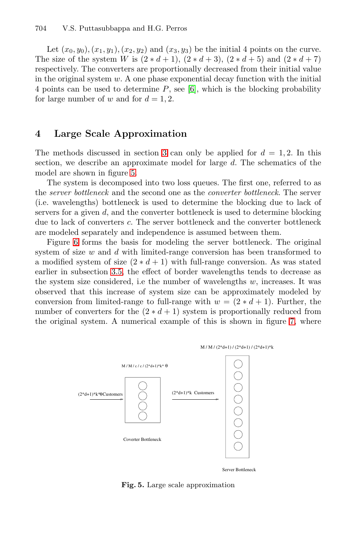Let  $(x_0, y_0), (x_1, y_1), (x_2, y_2)$  and  $(x_3, y_3)$  be the initial 4 points on the curve. The size of the system W is  $(2 * d + 1), (2 * d + 3), (2 * d + 5)$  and  $(2 * d + 7)$ respectively. The converters are proportionally decreased from their initial value in the original system  $w$ . A one phase exponential decay function with the initial 4 points can be used to determine  $P$ , see [\[6\]](#page-11-13), which is the blocking probability for large number of w and for  $d = 1, 2$ .

## <span id="page-7-0"></span>**4 Large Scale Approximation**

The methods discussed in section [3](#page-1-1) can only be applied for  $d = 1, 2$ . In this section, we describe an approximate model for large d. The schematics of the model are shown in figure [5.](#page-7-1)

The system is decomposed into two loss queues. The first one, referred to as the *server bottleneck* and the second one as the *converter bottleneck*. The server (i.e. wavelengths) bottleneck is used to determine the blocking due to lack of servers for a given  $d$ , and the converter bottleneck is used to determine blocking due to lack of converters c. The server bottleneck and the converter bottleneck are modeled separately and independence is assumed between them.

Figure [6](#page-8-0) forms the basis for modeling the server bottleneck. The original system of size  $w$  and  $d$  with limited-range conversion has been transformed to a modified system of size  $(2 * d + 1)$  with full-range conversion. As was stated earlier in subsection [3.5,](#page-6-4) the effect of border wavelengths tends to decrease as the system size considered, i.e the number of wavelengths  $w$ , increases. It was observed that this increase of system size can be approximately modeled by conversion from limited-range to full-range with  $w = (2 * d + 1)$ . Further, the number of converters for the  $(2 * d + 1)$  system is proportionally reduced from the original system. A numerical example of this is shown in figure [7,](#page-8-1) where



<span id="page-7-1"></span>**Fig. 5.** Large scale approximation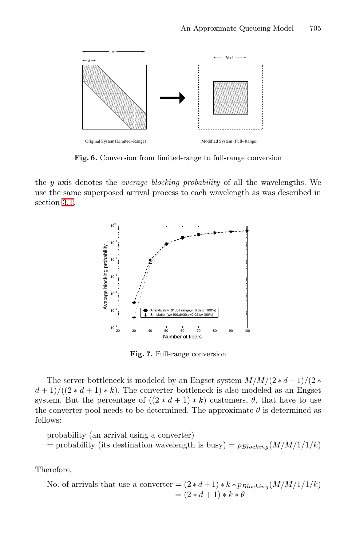

**Fig. 6.** Conversion from limited-range to full-range conversion

<span id="page-8-0"></span>the y axis denotes the *average blocking probability* of all the wavelengths. We use the same superposed arrival process to each wavelength as was described in section [3.1.](#page-3-1)



<span id="page-8-1"></span>**Fig. 7.** Full-range conversion

The server bottleneck is modeled by an Engset system M/M/(2 ∗ d + 1)/(2 ∗  $(d+1)/((2*d+1)*k)$ . The converter bottleneck is also modeled as an Engset system. But the percentage of  $((2 * d + 1) * k)$  customers,  $\theta$ , that have to use the converter pool needs to be determined. The approximate  $\theta$  is determined as follows:

probability (an arrival using a converter)

= probability (its destination wavelength is busy) =  $p_{Blocking}(M/M/1/1/k)$ 

Therefore,

No. of arrivals that use a converter = 
$$
(2*d+1) * k * p_{Blocking}(M/M/1/1/k)
$$
  
=  $(2*d+1) * k * \theta$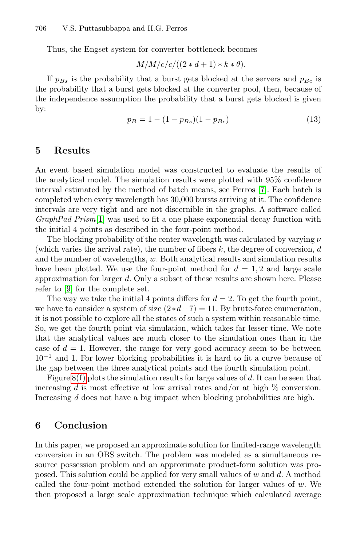Thus, the Engset system for converter bottleneck becomes

$$
M/M/c/c/((2*d+1)*k*\theta).
$$

If  $p_{Bs}$  is the probability that a burst gets blocked at the servers and  $p_{Bc}$  is the probability that a burst gets blocked at the converter pool, then, because of the independence assumption the probability that a burst gets blocked is given by:

$$
p_B = 1 - (1 - p_{Bs})(1 - p_{Bc})
$$
\n(13)

### <span id="page-9-0"></span>**5 Results**

An event based simulation model was constructed to evaluate the results of the analytical model. The simulation results were plotted with 95% confidence interval estimated by the method of batch means, see Perros [\[7\]](#page-11-14). Each batch is completed when every wavelength has 30,000 bursts arriving at it. The confidence intervals are very tight and are not discernible in the graphs. A software called *GraphPad Prism*[\[1\]](#page-11-15) was used to fit a one phase exponential decay function with the initial 4 points as described in the four-point method.

The blocking probability of the center wavelength was calculated by varying  $\nu$ (which varies the arrival rate), the number of fibers  $k$ , the degree of conversion,  $d$ and the number of wavelengths, w. Both analytical results and simulation results have been plotted. We use the four-point method for  $d = 1, 2$  and large scale approximation for larger d. Only a subset of these results are shown here. Please refer to [\[9\]](#page-11-12) for the complete set.

The way we take the initial 4 points differs for  $d = 2$ . To get the fourth point, we have to consider a system of size  $(2*d+7) = 11$ . By brute-force enumeration, it is not possible to explore all the states of such a system within reasonable time. So, we get the fourth point via simulation, which takes far lesser time. We note that the analytical values are much closer to the simulation ones than in the case of  $d = 1$ . However, the range for very good accuracy seem to be between  $10^{-1}$  and 1. For lower blocking probabilities it is hard to fit a curve because of the gap between the three analytical points and the fourth simulation point.

Figure  $8(f)$  plots the simulation results for large values of d. It can be seen that increasing d is most effective at low arrival rates and/or at high  $\%$  conversion. Increasing d does not have a big impact when blocking probabilities are high.

## <span id="page-9-1"></span>**6 Conclusion**

In this paper, we proposed an approximate solution for limited-range wavelength conversion in an OBS switch. The problem was modeled as a simultaneous resource possession problem and an approximate product-form solution was proposed. This solution could be applied for very small values of  $w$  and  $d$ . A method called the four-point method extended the solution for larger values of  $w$ . We then proposed a large scale approximation technique which calculated average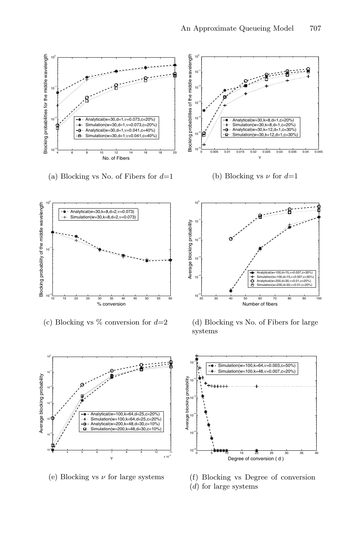



(e) Blocking vs  $\nu$  for large systems

<span id="page-10-0"></span>

(f) Blocking vs Degree of conversion

(d) for large systems